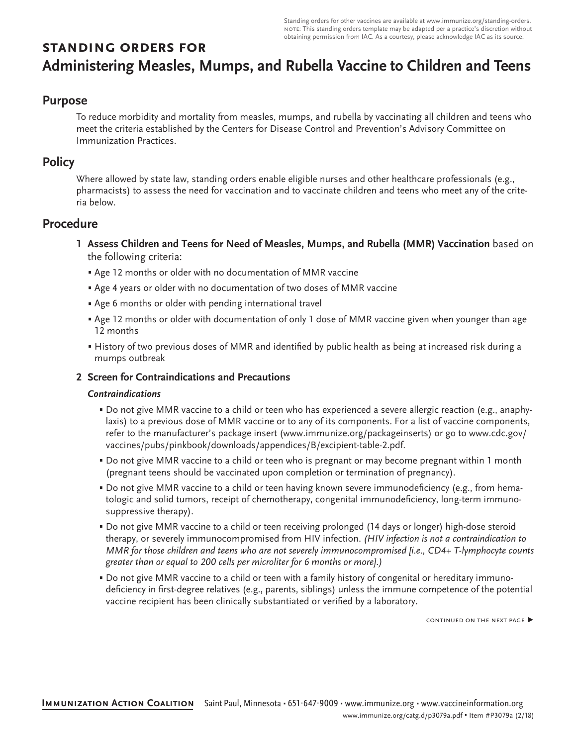Standing orders for other vaccines are available at [www.immunize.org/standing-orders.](http://www.immunize.org/standing-orders) note: This standing orders template may be adapted per a practice's discretion without obtaining permission from IAC. As a courtesy, please acknowledge IAC as its source.

# **standing orders for Administering Measles, Mumps, and Rubella Vaccine to Children and Teens**

# **Purpose**

To reduce morbidity and mortality from measles, mumps, and rubella by vaccinating all children and teens who meet the criteria established by the Centers for Disease Control and Prevention's Advisory Committee on Immunization Practices.

# **Policy**

Where allowed by state law, standing orders enable eligible nurses and other healthcare professionals (e.g., pharmacists) to assess the need for vaccination and to vaccinate children and teens who meet any of the criteria below.

# **Procedure**

- **1 Assess Children and Teens for Need of Measles, Mumps, and Rubella (MMR) Vaccination** based on the following criteria:
	- Age 12 months or older with no documentation of MMR vaccine
	- Age 4 years or older with no documentation of two doses of MMR vaccine
	- Age 6 months or older with pending international travel
	- Age 12 months or older with documentation of only 1 dose of MMR vaccine given when younger than age 12 months
	- History of two previous doses of MMR and identified by public health as being at increased risk during a mumps outbreak

## **2 Screen for Contraindications and Precautions**

### *Contraindications*

- Do not give MMR vaccine to a child or teen who has experienced a severe allergic reaction (e.g., anaphylaxis) to a previous dose of MMR vaccine or to any of its components. For a list of vaccine components, refer to the manufacturer's package insert ([www.immunize.org/packageinserts](http://www.immunize.org/packageinserts)) or go to [www.cdc.gov/](http://www.cdc.gov/vaccines/pubs/pinkbook/downloads/appendices/B/excipient-table-2.pdf) [vaccines/pubs/pinkbook/downloads/appendices/B/excipient-table-2.pdf](http://www.cdc.gov/vaccines/pubs/pinkbook/downloads/appendices/B/excipient-table-2.pdf).
- Do not give MMR vaccine to a child or teen who is pregnant or may become pregnant within 1 month (pregnant teens should be vaccinated upon completion or termination of pregnancy).
- Do not give MMR vaccine to a child or teen having known severe immunodeficiency (e.g., from hematologic and solid tumors, receipt of chemotherapy, congenital immunodeficiency, long-term immunosuppressive therapy).
- Do not give MMR vaccine to a child or teen receiving prolonged (14 days or longer) high-dose steroid therapy, or severely immunocompromised from HIV infection. *(HIV infection is not a contraindication to MMR for those children and teens who are not severely immunocompromised [i.e., CD4+ T-lymphocyte counts greater than or equal to 200 cells per microliter for 6 months or more].)*
- Do not give MMR vaccine to a child or teen with a family history of congenital or hereditary immunodeficiency in first-degree relatives (e.g., parents, siblings) unless the immune competence of the potential vaccine recipient has been clinically substantiated or verified by a laboratory.

continued on the next page ▶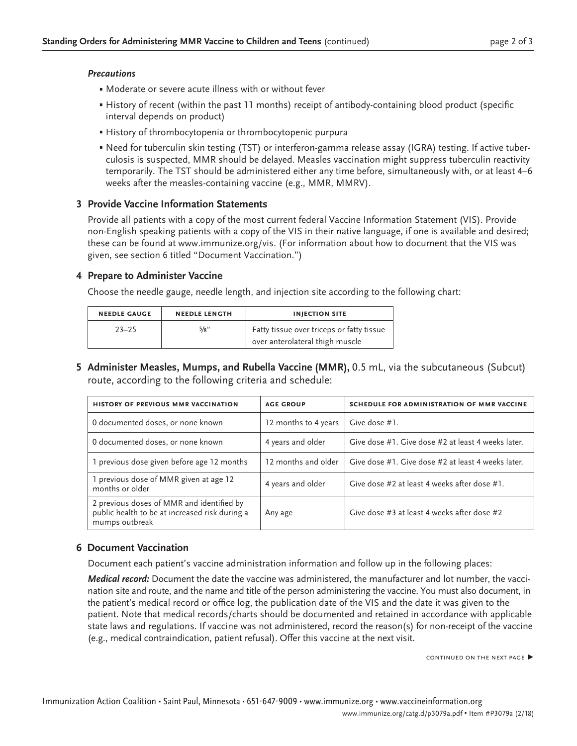#### *Precautions*

- Moderate or severe acute illness with or without fever
- History of recent (within the past 11 months) receipt of antibody-containing blood product (specific interval depends on product)
- History of thrombocytopenia or thrombocytopenic purpura
- Need for tuberculin skin testing (TST) or interferon-gamma release assay (IGRA) testing. If active tuberculosis is suspected, MMR should be delayed. Measles vaccination might suppress tuberculin reactivity temporarily. The TST should be administered either any time before, simultaneously with, or at least 4–6 weeks after the measles-containing vaccine (e.g., MMR, MMRV).

### **3 Provide Vaccine Information Statements**

Provide all patients with a copy of the most current federal Vaccine Information Statement (VIS). Provide non-English speaking patients with a copy of the VIS in their native language, if one is available and desired; these can be found at [www.immunize.org/vis](http://www.immunize.org/vis). (For information about how to document that the VIS was given, see section 6 titled "Document Vaccination.")

#### **4 Prepare to Administer Vaccine**

Choose the needle gauge, needle length, and injection site according to the following chart:

| <b>NEEDLE GAUGE</b> | <b>NEEDLE LENGTH</b> | <b>INJECTION SITE</b>                                                        |
|---------------------|----------------------|------------------------------------------------------------------------------|
| $23 - 25$           | 5/8"                 | Fatty tissue over triceps or fatty tissue<br>over anterolateral thigh muscle |

**5 Administer Measles, Mumps, and Rubella Vaccine (MMR),** 0.5 mL, via the subcutaneous (Subcut) route, according to the following criteria and schedule:

| <b>HISTORY OF PREVIOUS MMR VACCINATION</b>                                                                    | <b>AGE GROUP</b>     | <b>SCHEDULE FOR ADMINISTRATION OF MMR VACCINE</b>  |
|---------------------------------------------------------------------------------------------------------------|----------------------|----------------------------------------------------|
| 0 documented doses, or none known                                                                             | 12 months to 4 years | Give dose #1.                                      |
| 0 documented doses, or none known                                                                             | 4 years and older    | Give dose #1. Give dose #2 at least 4 weeks later. |
| 1 previous dose given before age 12 months                                                                    | 12 months and older  | Give dose #1. Give dose #2 at least 4 weeks later. |
| 1 previous dose of MMR given at age 12<br>months or older                                                     | 4 years and older    | Give dose #2 at least 4 weeks after dose #1.       |
| 2 previous doses of MMR and identified by<br>public health to be at increased risk during a<br>mumps outbreak | Any age              | Give dose #3 at least 4 weeks after dose #2        |

#### **6 Document Vaccination**

Document each patient's vaccine administration information and follow up in the following places:

*Medical record:* Document the date the vaccine was administered, the manufacturer and lot number, the vaccination site and route, and the name and title of the person administering the vaccine. You must also document, in the patient's medical record or office log, the publication date of the VIS and the date it was given to the patient. Note that medical records/charts should be documented and retained in accordance with applicable state laws and regulations. If vaccine was not administered, record the reason(s) for non-receipt of the vaccine (e.g., medical contraindication, patient refusal). Offer this vaccine at the next visit.

continued on the next page ▶